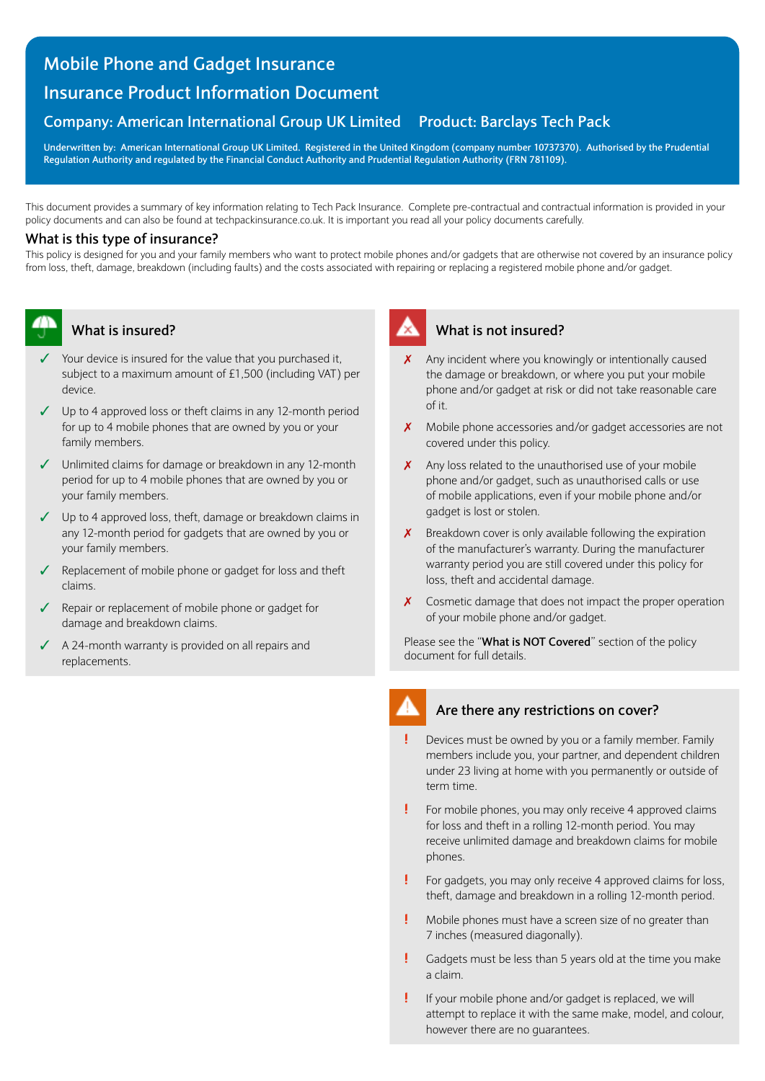## **Mobile Phone and Gadget Insurance**

# **Insurance Product Information Document**

# **Company: American International Group UK Limited Product: Barclays Tech Pack**

**Underwritten by: American International Group UK Limited. Registered in the United Kingdom (company number 10737370). Authorised by the Prudential Regulation Authority and regulated by the Financial Conduct Authority and Prudential Regulation Authority (FRN 781109).** 

This document provides a summary of key information relating to Tech Pack Insurance. Complete pre-contractual and contractual information is provided in your policy documents and can also be found at techpackinsurance.co.uk. It is important you read all your policy documents carefully.

### **What is this type of insurance?**

This policy is designed for you and your family members who want to protect mobile phones and/or gadgets that are otherwise not covered by an insurance policy from loss, theft, damage, breakdown (including faults) and the costs associated with repairing or replacing a registered mobile phone and/or gadget.



## **What is insured?**

- Your device is insured for the value that you purchased it, subject to a maximum amount of £1,500 (including VAT) per device.
- $\checkmark$  Up to 4 approved loss or theft claims in any 12-month period for up to 4 mobile phones that are owned by you or your family members.
- $\checkmark$  Unlimited claims for damage or breakdown in any 12-month period for up to 4 mobile phones that are owned by you or your family members.
- $\checkmark$  Up to 4 approved loss, theft, damage or breakdown claims in any 12-month period for gadgets that are owned by you or your family members.
- $\checkmark$  Replacement of mobile phone or gadget for loss and theft claims.
- $\sqrt{ }$  Repair or replacement of mobile phone or gadget for damage and breakdown claims.
- $\triangleleft$  A 24-month warranty is provided on all repairs and replacements.



### **What is not insured?**

- $\chi$  Any incident where you knowingly or intentionally caused the damage or breakdown, or where you put your mobile phone and/or gadget at risk or did not take reasonable care of it.
- X Mobile phone accessories and/or gadget accessories are not covered under this policy.
- Any loss related to the unauthorised use of your mobile phone and/or gadget, such as unauthorised calls or use of mobile applications, even if your mobile phone and/or gadget is lost or stolen.
- $\boldsymbol{X}$  Breakdown cover is only available following the expiration of the manufacturer's warranty. During the manufacturer warranty period you are still covered under this policy for loss, theft and accidental damage.
- $\boldsymbol{X}$  Cosmetic damage that does not impact the proper operation of your mobile phone and/or gadget.

Please see the "**What is NOT Covered**" section of the policy document for full details.



#### **Are there any restrictions on cover?**

- **!** Devices must be owned by you or a family member. Family members include you, your partner, and dependent children under 23 living at home with you permanently or outside of term time.
- **!** For mobile phones, you may only receive 4 approved claims for loss and theft in a rolling 12-month period. You may receive unlimited damage and breakdown claims for mobile phones.
- **!** For gadgets, you may only receive 4 approved claims for loss, theft, damage and breakdown in a rolling 12-month period.
- **!** Mobile phones must have a screen size of no greater than 7 inches (measured diagonally).
- **!** Gadgets must be less than 5 years old at the time you make a claim.
- **!** If your mobile phone and/or gadget is replaced, we will attempt to replace it with the same make, model, and colour, however there are no guarantees.